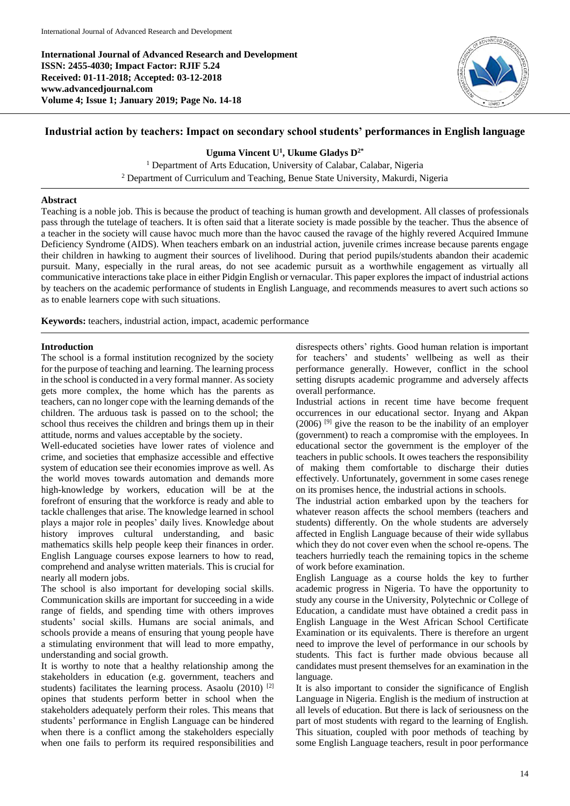**International Journal of Advanced Research and Development ISSN: 2455-4030; Impact Factor: RJIF 5.24 Received: 01-11-2018; Accepted: 03-12-2018 www.advancedjournal.com Volume 4; Issue 1; January 2019; Page No. 14-18**



# **Industrial action by teachers: Impact on secondary school students' performances in English language**

**Uguma Vincent U<sup>1</sup> , Ukume Gladys D2\***

<sup>1</sup> Department of Arts Education, University of Calabar, Calabar, Nigeria

<sup>2</sup> Department of Curriculum and Teaching, Benue State University, Makurdi, Nigeria

### **Abstract**

Teaching is a noble job. This is because the product of teaching is human growth and development. All classes of professionals pass through the tutelage of teachers. It is often said that a literate society is made possible by the teacher. Thus the absence of a teacher in the society will cause havoc much more than the havoc caused the ravage of the highly revered Acquired Immune Deficiency Syndrome (AIDS). When teachers embark on an industrial action, juvenile crimes increase because parents engage their children in hawking to augment their sources of livelihood. During that period pupils/students abandon their academic pursuit. Many, especially in the rural areas, do not see academic pursuit as a worthwhile engagement as virtually all communicative interactions take place in either Pidgin English or vernacular. This paper explores the impact of industrial actions by teachers on the academic performance of students in English Language, and recommends measures to avert such actions so as to enable learners cope with such situations.

**Keywords:** teachers, industrial action, impact, academic performance

## **Introduction**

The school is a formal institution recognized by the society for the purpose of teaching and learning. The learning process in the school is conducted in a very formal manner. As society gets more complex, the home which has the parents as teachers, can no longer cope with the learning demands of the children. The arduous task is passed on to the school; the school thus receives the children and brings them up in their attitude, norms and values acceptable by the society.

Well-educated societies have lower rates of violence and crime, and societies that emphasize accessible and effective system of education see their economies improve as well. As the world moves towards automation and demands more high-knowledge by workers, education will be at the forefront of ensuring that the workforce is ready and able to tackle challenges that arise. The knowledge learned in school plays a major role in peoples' daily lives. Knowledge about history improves cultural understanding, and basic mathematics skills help people keep their finances in order. English Language courses expose learners to how to read, comprehend and analyse written materials. This is crucial for nearly all modern jobs.

The school is also important for developing social skills. Communication skills are important for succeeding in a wide range of fields, and spending time with others improves students' social skills. Humans are social animals, and schools provide a means of ensuring that young people have a stimulating environment that will lead to more empathy, understanding and social growth.

It is worthy to note that a healthy relationship among the stakeholders in education (e.g. government, teachers and students) facilitates the learning process. Asaolu  $(2010)$ <sup>[2]</sup> opines that students perform better in school when the stakeholders adequately perform their roles. This means that students' performance in English Language can be hindered when there is a conflict among the stakeholders especially when one fails to perform its required responsibilities and

disrespects others' rights. Good human relation is important for teachers' and students' wellbeing as well as their performance generally. However, conflict in the school setting disrupts academic programme and adversely affects overall performance.

Industrial actions in recent time have become frequent occurrences in our educational sector. Inyang and Akpan  $(2006)$  <sup>[9]</sup> give the reason to be the inability of an employer (government) to reach a compromise with the employees. In educational sector the government is the employer of the teachers in public schools. It owes teachers the responsibility of making them comfortable to discharge their duties effectively. Unfortunately, government in some cases renege on its promises hence, the industrial actions in schools.

The industrial action embarked upon by the teachers for whatever reason affects the school members (teachers and students) differently. On the whole students are adversely affected in English Language because of their wide syllabus which they do not cover even when the school re-opens. The teachers hurriedly teach the remaining topics in the scheme of work before examination.

English Language as a course holds the key to further academic progress in Nigeria. To have the opportunity to study any course in the University, Polytechnic or College of Education, a candidate must have obtained a credit pass in English Language in the West African School Certificate Examination or its equivalents. There is therefore an urgent need to improve the level of performance in our schools by students. This fact is further made obvious because all candidates must present themselves for an examination in the language.

It is also important to consider the significance of English Language in Nigeria. English is the medium of instruction at all levels of education. But there is lack of seriousness on the part of most students with regard to the learning of English. This situation, coupled with poor methods of teaching by some English Language teachers, result in poor performance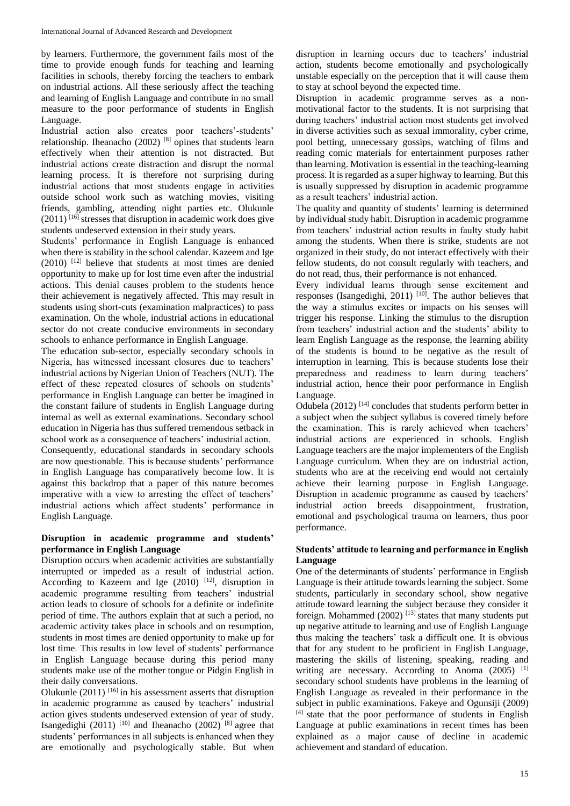by learners. Furthermore, the government fails most of the time to provide enough funds for teaching and learning facilities in schools, thereby forcing the teachers to embark on industrial actions. All these seriously affect the teaching and learning of English Language and contribute in no small measure to the poor performance of students in English Language.

Industrial action also creates poor teachers'-students' relationship. Iheanacho (2002) [8] opines that students learn effectively when their attention is not distracted. But industrial actions create distraction and disrupt the normal learning process. It is therefore not surprising during industrial actions that most students engage in activities outside school work such as watching movies, visiting friends, gambling, attending night parties etc. Olukunle  $(2011)^{[16]}$  stresses that disruption in academic work does give students undeserved extension in their study years.

Students' performance in English Language is enhanced when there is stability in the school calendar. Kazeem and Ige  $(2010)$  <sup>[12]</sup> believe that students at most times are denied opportunity to make up for lost time even after the industrial actions. This denial causes problem to the students hence their achievement is negatively affected. This may result in students using short-cuts (examination malpractices) to pass examination. On the whole, industrial actions in educational sector do not create conducive environments in secondary schools to enhance performance in English Language.

The education sub-sector, especially secondary schools in Nigeria, has witnessed incessant closures due to teachers' industrial actions by Nigerian Union of Teachers (NUT). The effect of these repeated closures of schools on students' performance in English Language can better be imagined in the constant failure of students in English Language during internal as well as external examinations. Secondary school education in Nigeria has thus suffered tremendous setback in school work as a consequence of teachers' industrial action. Consequently, educational standards in secondary schools are now questionable. This is because students' performance in English Language has comparatively become low. It is against this backdrop that a paper of this nature becomes imperative with a view to arresting the effect of teachers' industrial actions which affect students' performance in English Language.

### **Disruption in academic programme and students' performance in English Language**

Disruption occurs when academic activities are substantially interrupted or impeded as a result of industrial action. According to Kazeem and Ige  $(2010)$  <sup>[12]</sup>, disruption in academic programme resulting from teachers' industrial action leads to closure of schools for a definite or indefinite period of time. The authors explain that at such a period, no academic activity takes place in schools and on resumption, students in most times are denied opportunity to make up for lost time. This results in low level of students' performance in English Language because during this period many students make use of the mother tongue or Pidgin English in their daily conversations.

Olukunle  $(2011)$  <sup>[16]</sup> in his assessment asserts that disruption in academic programme as caused by teachers' industrial action gives students undeserved extension of year of study. Isangedighi (2011)  $[10]$  and Iheanacho (2002)  $[8]$  agree that students' performances in all subjects is enhanced when they are emotionally and psychologically stable. But when

disruption in learning occurs due to teachers' industrial action, students become emotionally and psychologically unstable especially on the perception that it will cause them to stay at school beyond the expected time.

Disruption in academic programme serves as a nonmotivational factor to the students. It is not surprising that during teachers' industrial action most students get involved in diverse activities such as sexual immorality, cyber crime, pool betting, unnecessary gossips, watching of films and reading comic materials for entertainment purposes rather than learning. Motivation is essential in the teaching-learning process. It is regarded as a super highway to learning. But this is usually suppressed by disruption in academic programme as a result teachers' industrial action.

The quality and quantity of students' learning is determined by individual study habit. Disruption in academic programme from teachers' industrial action results in faulty study habit among the students. When there is strike, students are not organized in their study, do not interact effectively with their fellow students, do not consult regularly with teachers, and do not read, thus, their performance is not enhanced.

Every individual learns through sense excitement and responses (Isangedighi, 2011)  $[10]$ . The author believes that the way a stimulus excites or impacts on his senses will trigger his response. Linking the stimulus to the disruption from teachers' industrial action and the students' ability to learn English Language as the response, the learning ability of the students is bound to be negative as the result of interruption in learning. This is because students lose their preparedness and readiness to learn during teachers' industrial action, hence their poor performance in English Language.

Odubela  $(2012)$ <sup>[14]</sup> concludes that students perform better in a subject when the subject syllabus is covered timely before the examination. This is rarely achieved when teachers' industrial actions are experienced in schools. English Language teachers are the major implementers of the English Language curriculum. When they are on industrial action, students who are at the receiving end would not certainly achieve their learning purpose in English Language. Disruption in academic programme as caused by teachers' industrial action breeds disappointment, frustration, emotional and psychological trauma on learners, thus poor performance.

## **Students' attitude to learning and performance in English Language**

One of the determinants of students' performance in English Language is their attitude towards learning the subject. Some students, particularly in secondary school, show negative attitude toward learning the subject because they consider it foreign. Mohammed  $(2002)$  <sup>[13]</sup> states that many students put up negative attitude to learning and use of English Language thus making the teachers' task a difficult one. It is obvious that for any student to be proficient in English Language, mastering the skills of listening, speaking, reading and writing are necessary. According to Anoma  $(2005)^{[1]}$ secondary school students have problems in the learning of English Language as revealed in their performance in the subject in public examinations. Fakeye and Ogunsiji (2009)  $[4]$  state that the poor performance of students in English Language at public examinations in recent times has been explained as a major cause of decline in academic achievement and standard of education.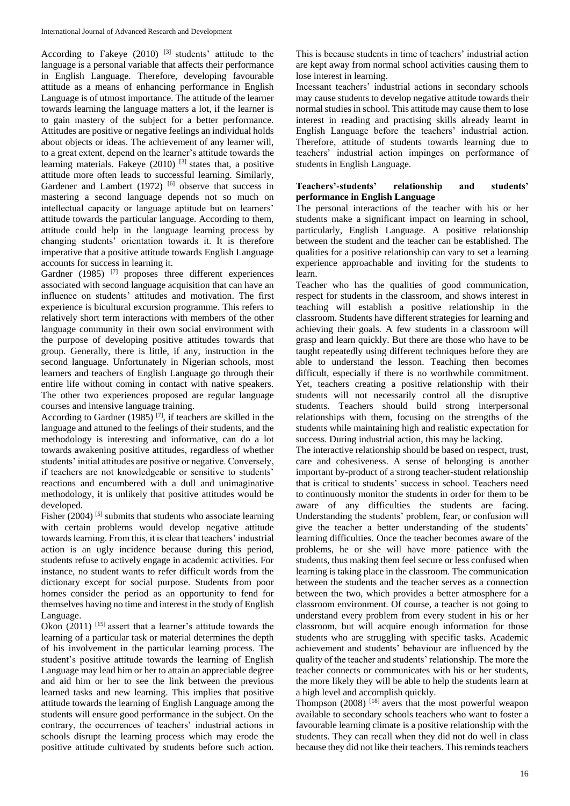According to Fakeye (2010)<sup>[3]</sup> students' attitude to the language is a personal variable that affects their performance in English Language. Therefore, developing favourable attitude as a means of enhancing performance in English Language is of utmost importance. The attitude of the learner towards learning the language matters a lot, if the learner is to gain mastery of the subject for a better performance. Attitudes are positive or negative feelings an individual holds about objects or ideas. The achievement of any learner will, to a great extent, depend on the learner's attitude towards the learning materials. Fakeye  $(2010)$  <sup>[3]</sup> states that, a positive attitude more often leads to successful learning. Similarly, Gardener and Lambert  $(1972)$  [6] observe that success in mastering a second language depends not so much on intellectual capacity or language aptitude but on learners' attitude towards the particular language. According to them, attitude could help in the language learning process by changing students' orientation towards it. It is therefore imperative that a positive attitude towards English Language accounts for success in learning it.

Gardner (1985)<sup>[7]</sup> proposes three different experiences associated with second language acquisition that can have an influence on students' attitudes and motivation. The first experience is bicultural excursion programme. This refers to relatively short term interactions with members of the other language community in their own social environment with the purpose of developing positive attitudes towards that group. Generally, there is little, if any, instruction in the second language. Unfortunately in Nigerian schools, most learners and teachers of English Language go through their entire life without coming in contact with native speakers. The other two experiences proposed are regular language courses and intensive language training.

According to Gardner  $(1985)$ <sup>[7]</sup>, if teachers are skilled in the language and attuned to the feelings of their students, and the methodology is interesting and informative, can do a lot towards awakening positive attitudes, regardless of whether students' initial attitudes are positive or negative. Conversely, if teachers are not knowledgeable or sensitive to students' reactions and encumbered with a dull and unimaginative methodology, it is unlikely that positive attitudes would be developed.

Fisher (2004)<sup>[5]</sup> submits that students who associate learning with certain problems would develop negative attitude towards learning. From this, it is clear that teachers' industrial action is an ugly incidence because during this period, students refuse to actively engage in academic activities. For instance, no student wants to refer difficult words from the dictionary except for social purpose. Students from poor homes consider the period as an opportunity to fend for themselves having no time and interest in the study of English Language.

Okon  $(2011)$  [15] assert that a learner's attitude towards the learning of a particular task or material determines the depth of his involvement in the particular learning process. The student's positive attitude towards the learning of English Language may lead him or her to attain an appreciable degree and aid him or her to see the link between the previous learned tasks and new learning. This implies that positive attitude towards the learning of English Language among the students will ensure good performance in the subject. On the contrary, the occurrences of teachers' industrial actions in schools disrupt the learning process which may erode the positive attitude cultivated by students before such action.

This is because students in time of teachers' industrial action are kept away from normal school activities causing them to lose interest in learning.

Incessant teachers' industrial actions in secondary schools may cause students to develop negative attitude towards their normal studies in school. This attitude may cause them to lose interest in reading and practising skills already learnt in English Language before the teachers' industrial action. Therefore, attitude of students towards learning due to teachers' industrial action impinges on performance of students in English Language.

### **Teachers'-students' relationship and students' performance in English Language**

The personal interactions of the teacher with his or her students make a significant impact on learning in school, particularly, English Language. A positive relationship between the student and the teacher can be established. The qualities for a positive relationship can vary to set a learning experience approachable and inviting for the students to learn.

Teacher who has the qualities of good communication, respect for students in the classroom, and shows interest in teaching will establish a positive relationship in the classroom. Students have different strategies for learning and achieving their goals. A few students in a classroom will grasp and learn quickly. But there are those who have to be taught repeatedly using different techniques before they are able to understand the lesson. Teaching then becomes difficult, especially if there is no worthwhile commitment. Yet, teachers creating a positive relationship with their students will not necessarily control all the disruptive students. Teachers should build strong interpersonal relationships with them, focusing on the strengths of the students while maintaining high and realistic expectation for success. During industrial action, this may be lacking.

The interactive relationship should be based on respect, trust, care and cohesiveness. A sense of belonging is another important by-product of a strong teacher-student relationship that is critical to students' success in school. Teachers need to continuously monitor the students in order for them to be aware of any difficulties the students are facing. Understanding the students' problem, fear, or confusion will give the teacher a better understanding of the students' learning difficulties. Once the teacher becomes aware of the problems, he or she will have more patience with the students, thus making them feel secure or less confused when learning is taking place in the classroom. The communication between the students and the teacher serves as a connection between the two, which provides a better atmosphere for a classroom environment. Of course, a teacher is not going to understand every problem from every student in his or her classroom, but will acquire enough information for those students who are struggling with specific tasks. Academic achievement and students' behaviour are influenced by the quality of the teacher and students' relationship. The more the teacher connects or communicates with his or her students, the more likely they will be able to help the students learn at a high level and accomplish quickly.

Thompson  $(2008)$  <sup>[18]</sup> avers that the most powerful weapon available to secondary schools teachers who want to foster a favourable learning climate is a positive relationship with the students. They can recall when they did not do well in class because they did not like their teachers. This reminds teachers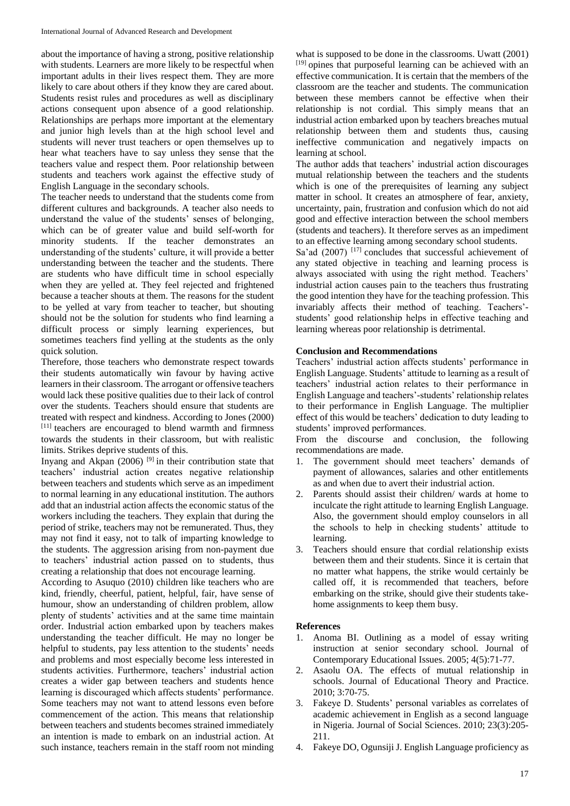about the importance of having a strong, positive relationship with students. Learners are more likely to be respectful when important adults in their lives respect them. They are more likely to care about others if they know they are cared about. Students resist rules and procedures as well as disciplinary actions consequent upon absence of a good relationship. Relationships are perhaps more important at the elementary and junior high levels than at the high school level and students will never trust teachers or open themselves up to hear what teachers have to say unless they sense that the teachers value and respect them. Poor relationship between students and teachers work against the effective study of English Language in the secondary schools.

The teacher needs to understand that the students come from different cultures and backgrounds. A teacher also needs to understand the value of the students' senses of belonging, which can be of greater value and build self-worth for minority students. If the teacher demonstrates an understanding of the students' culture, it will provide a better understanding between the teacher and the students. There are students who have difficult time in school especially when they are yelled at. They feel rejected and frightened because a teacher shouts at them. The reasons for the student to be yelled at vary from teacher to teacher, but shouting should not be the solution for students who find learning a difficult process or simply learning experiences, but sometimes teachers find yelling at the students as the only quick solution.

Therefore, those teachers who demonstrate respect towards their students automatically win favour by having active learners in their classroom. The arrogant or offensive teachers would lack these positive qualities due to their lack of control over the students. Teachers should ensure that students are treated with respect and kindness. According to Jones (2000) [11] teachers are encouraged to blend warmth and firmness towards the students in their classroom, but with realistic limits. Strikes deprive students of this.

Inyang and Akpan (2006) [9] in their contribution state that teachers' industrial action creates negative relationship between teachers and students which serve as an impediment to normal learning in any educational institution. The authors add that an industrial action affects the economic status of the workers including the teachers. They explain that during the period of strike, teachers may not be remunerated. Thus, they may not find it easy, not to talk of imparting knowledge to the students. The aggression arising from non-payment due to teachers' industrial action passed on to students, thus creating a relationship that does not encourage learning.

According to Asuquo (2010) children like teachers who are kind, friendly, cheerful, patient, helpful, fair, have sense of humour, show an understanding of children problem, allow plenty of students' activities and at the same time maintain order. Industrial action embarked upon by teachers makes understanding the teacher difficult. He may no longer be helpful to students, pay less attention to the students' needs and problems and most especially become less interested in students activities. Furthermore, teachers' industrial action creates a wider gap between teachers and students hence learning is discouraged which affects students' performance. Some teachers may not want to attend lessons even before commencement of the action. This means that relationship between teachers and students becomes strained immediately an intention is made to embark on an industrial action. At such instance, teachers remain in the staff room not minding

what is supposed to be done in the classrooms. Uwatt (2001) [19] opines that purposeful learning can be achieved with an effective communication. It is certain that the members of the classroom are the teacher and students. The communication between these members cannot be effective when their relationship is not cordial. This simply means that an industrial action embarked upon by teachers breaches mutual relationship between them and students thus, causing ineffective communication and negatively impacts on learning at school.

The author adds that teachers' industrial action discourages mutual relationship between the teachers and the students which is one of the prerequisites of learning any subject matter in school. It creates an atmosphere of fear, anxiety, uncertainty, pain, frustration and confusion which do not aid good and effective interaction between the school members (students and teachers). It therefore serves as an impediment to an effective learning among secondary school students.

Sa'ad  $(2007)$  [17] concludes that successful achievement of any stated objective in teaching and learning process is always associated with using the right method. Teachers' industrial action causes pain to the teachers thus frustrating the good intention they have for the teaching profession. This invariably affects their method of teaching. Teachers' students' good relationship helps in effective teaching and learning whereas poor relationship is detrimental.

### **Conclusion and Recommendations**

Teachers' industrial action affects students' performance in English Language. Students' attitude to learning as a result of teachers' industrial action relates to their performance in English Language and teachers'-students' relationship relates to their performance in English Language. The multiplier effect of this would be teachers' dedication to duty leading to students' improved performances.

From the discourse and conclusion, the following recommendations are made.

- 1. The government should meet teachers' demands of payment of allowances, salaries and other entitlements as and when due to avert their industrial action.
- 2. Parents should assist their children/ wards at home to inculcate the right attitude to learning English Language. Also, the government should employ counselors in all the schools to help in checking students' attitude to learning.
- 3. Teachers should ensure that cordial relationship exists between them and their students. Since it is certain that no matter what happens, the strike would certainly be called off, it is recommended that teachers, before embarking on the strike, should give their students takehome assignments to keep them busy.

### **References**

- 1. Anoma BI. Outlining as a model of essay writing instruction at senior secondary school. Journal of Contemporary Educational Issues. 2005; 4(5):71-77.
- 2. Asaolu OA. The effects of mutual relationship in schools. Journal of Educational Theory and Practice. 2010; 3:70-75.
- 3. Fakeye D. Students' personal variables as correlates of academic achievement in English as a second language in Nigeria. Journal of Social Sciences. 2010; 23(3):205- 211.
- 4. Fakeye DO, Ogunsiji J. English Language proficiency as